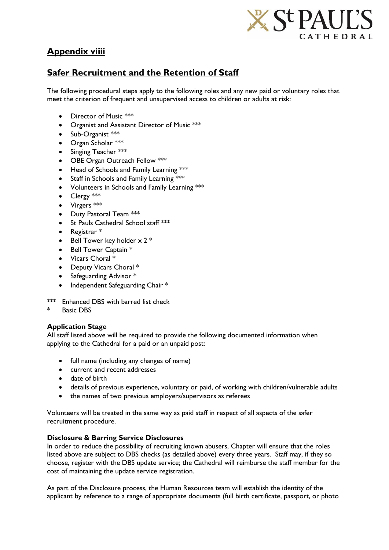

# **Appendix viiii**

## **Safer Recruitment and the Retention of Staff**

The following procedural steps apply to the following roles and any new paid or voluntary roles that meet the criterion of frequent and unsupervised access to children or adults at risk:

- Director of Music \*\*\*
- Organist and Assistant Director of Music \*\*\*
- $\bullet$  Sub-Organist  $***$
- Organ Scholar \*\*\*
- $\bullet$  Singing Teacher \*\*\*
- OBE Organ Outreach Fellow \*\*\*
- Head of Schools and Family Learning \*\*\*
- Staff in Schools and Family Learning \*\*\*
- Volunteers in Schools and Family Learning \*\*\*
- Clergy \*\*\*
- Virgers \*\*\*
- Duty Pastoral Team \*\*\*
- St Pauls Cathedral School staff \*\*\*
- Registrar \*
- Bell Tower key holder  $x 2$  \*
- Bell Tower Captain \*
- Vicars Choral \*
- Deputy Vicars Choral \*
- Safeguarding Advisor \*
- Independent Safeguarding Chair \*
- \*\*\* Enhanced DBS with barred list check
- Basic DBS

### **Application Stage**

All staff listed above will be required to provide the following documented information when applying to the Cathedral for a paid or an unpaid post:

- full name (including any changes of name)
- current and recent addresses
- date of birth
- details of previous experience, voluntary or paid, of working with children/vulnerable adults
- the names of two previous employers/supervisors as referees

Volunteers will be treated in the same way as paid staff in respect of all aspects of the safer recruitment procedure.

#### **Disclosure & Barring Service Disclosures**

In order to reduce the possibility of recruiting known abusers, Chapter will ensure that the roles listed above are subject to DBS checks (as detailed above) every three years. Staff may, if they so choose, register with the DBS update service; the Cathedral will reimburse the staff member for the cost of maintaining the update service registration.

As part of the Disclosure process, the Human Resources team will establish the identity of the applicant by reference to a range of appropriate documents (full birth certificate, passport, or photo